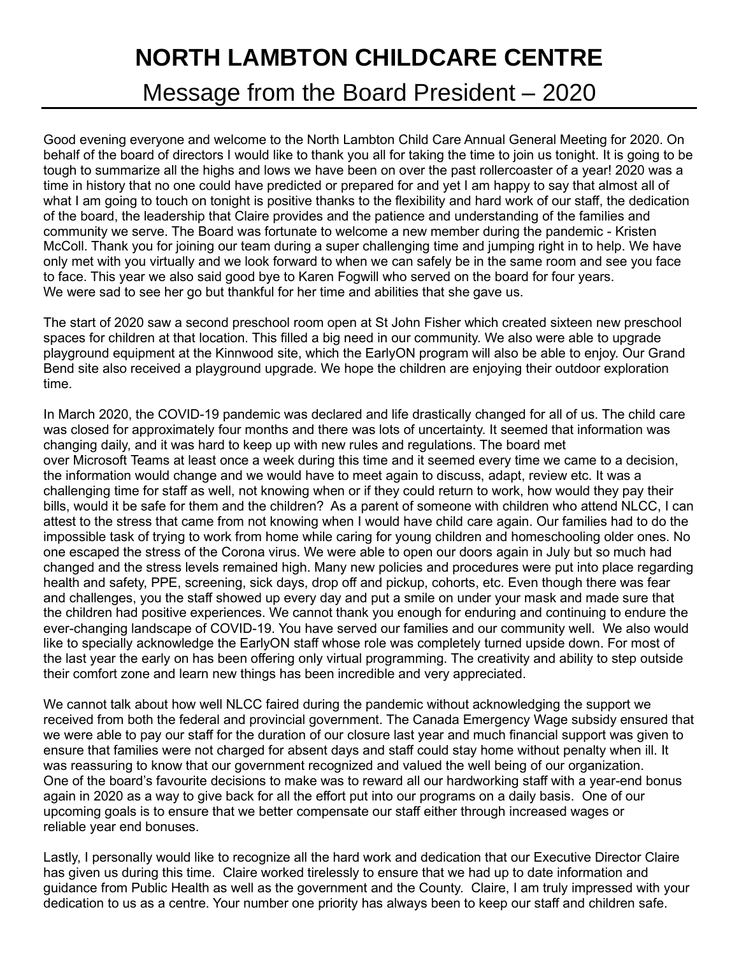## **NORTH LAMBTON CHILDCARE CENTRE**

Message from the Board President – 2020

Good evening everyone and welcome to the North Lambton Child Care Annual General Meeting for 2020. On behalf of the board of directors I would like to thank you all for taking the time to join us tonight. It is going to be tough to summarize all the highs and lows we have been on over the past rollercoaster of a year! 2020 was a time in history that no one could have predicted or prepared for and yet I am happy to say that almost all of what I am going to touch on tonight is positive thanks to the flexibility and hard work of our staff, the dedication of the board, the leadership that Claire provides and the patience and understanding of the families and community we serve. The Board was fortunate to welcome a new member during the pandemic - Kristen McColl. Thank you for joining our team during a super challenging time and jumping right in to help. We have only met with you virtually and we look forward to when we can safely be in the same room and see you face to face. This year we also said good bye to Karen Fogwill who served on the board for four years. We were sad to see her go but thankful for her time and abilities that she gave us.

The start of 2020 saw a second preschool room open at St John Fisher which created sixteen new preschool spaces for children at that location. This filled a big need in our community. We also were able to upgrade playground equipment at the Kinnwood site, which the EarlyON program will also be able to enjoy. Our Grand Bend site also received a playground upgrade. We hope the children are enjoying their outdoor exploration time.

In March 2020, the COVID-19 pandemic was declared and life drastically changed for all of us. The child care was closed for approximately four months and there was lots of uncertainty. It seemed that information was changing daily, and it was hard to keep up with new rules and regulations. The board met over Microsoft Teams at least once a week during this time and it seemed every time we came to a decision, the information would change and we would have to meet again to discuss, adapt, review etc. It was a challenging time for staff as well, not knowing when or if they could return to work, how would they pay their bills, would it be safe for them and the children? As a parent of someone with children who attend NLCC, I can attest to the stress that came from not knowing when I would have child care again. Our families had to do the impossible task of trying to work from home while caring for young children and homeschooling older ones. No one escaped the stress of the Corona virus. We were able to open our doors again in July but so much had changed and the stress levels remained high. Many new policies and procedures were put into place regarding health and safety, PPE, screening, sick days, drop off and pickup, cohorts, etc. Even though there was fear and challenges, you the staff showed up every day and put a smile on under your mask and made sure that the children had positive experiences. We cannot thank you enough for enduring and continuing to endure the ever-changing landscape of COVID-19. You have served our families and our community well. We also would like to specially acknowledge the EarlyON staff whose role was completely turned upside down. For most of the last year the early on has been offering only virtual programming. The creativity and ability to step outside their comfort zone and learn new things has been incredible and very appreciated.

We cannot talk about how well NLCC faired during the pandemic without acknowledging the support we received from both the federal and provincial government. The Canada Emergency Wage subsidy ensured that we were able to pay our staff for the duration of our closure last year and much financial support was given to ensure that families were not charged for absent days and staff could stay home without penalty when ill. It was reassuring to know that our government recognized and valued the well being of our organization. One of the board's favourite decisions to make was to reward all our hardworking staff with a year-end bonus again in 2020 as a way to give back for all the effort put into our programs on a daily basis. One of our upcoming goals is to ensure that we better compensate our staff either through increased wages or reliable year end bonuses.

Lastly, I personally would like to recognize all the hard work and dedication that our Executive Director Claire has given us during this time. Claire worked tirelessly to ensure that we had up to date information and guidance from Public Health as well as the government and the County. Claire, I am truly impressed with your dedication to us as a centre. Your number one priority has always been to keep our staff and children safe.